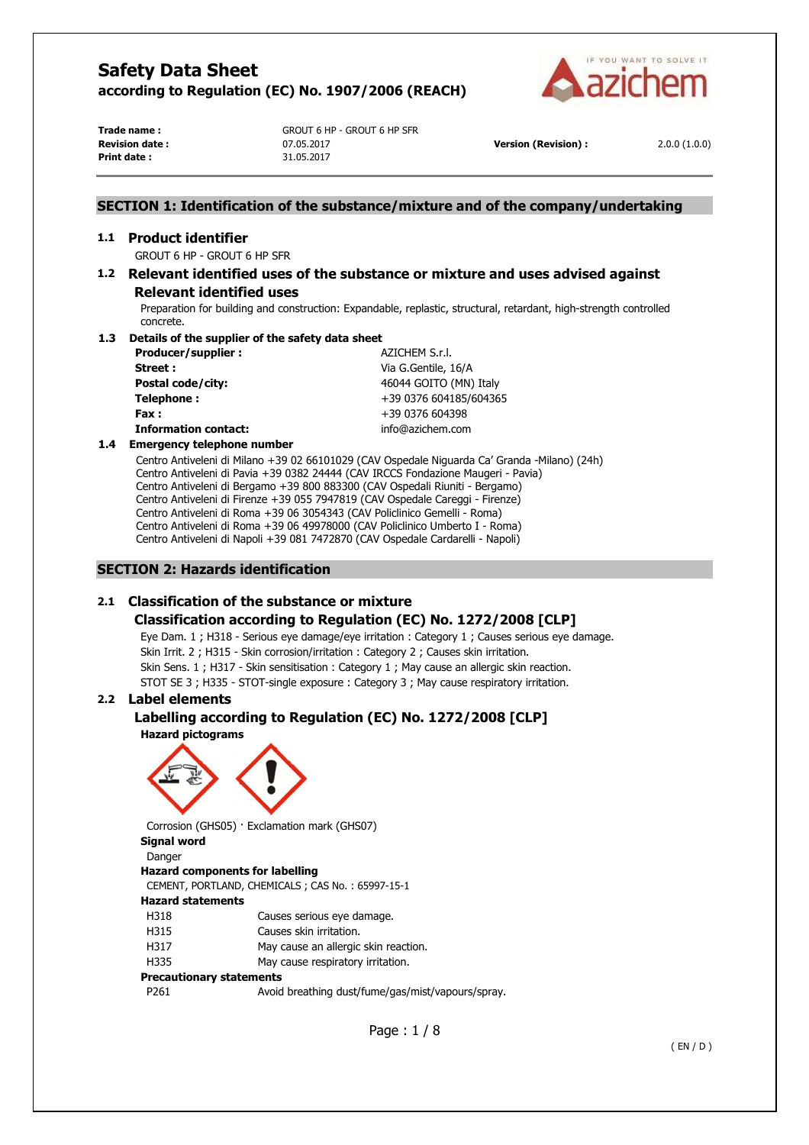

**Print date :** 31.05.2017

**Trade name :** GROUT 6 HP - GROUT 6 HP SFR **Revision date :** 07.05.2017 **Version (Revision) :** 2.0.0 (1.0.0)

# **SECTION 1: Identification of the substance/mixture and of the company/undertaking**

# **1.1 Product identifier**

GROUT 6 HP - GROUT 6 HP SFR

# **1.2 Relevant identified uses of the substance or mixture and uses advised against Relevant identified uses**

Preparation for building and construction: Expandable, replastic, structural, retardant, high-strength controlled concrete.

#### **1.3 Details of the supplier of the safety data sheet**

| Producer/supplier:          | AZICHEM S.r.l.         |
|-----------------------------|------------------------|
| Street:                     | Via G.Gentile, 16/A    |
| Postal code/city:           | 46044 GOITO (MN) Italy |
| Telephone:                  | +39 0376 604185/604365 |
| Fax :                       | +39 0376 604398        |
| <b>Information contact:</b> | info@azichem.com       |
|                             |                        |

#### **1.4 Emergency telephone number**

Centro Antiveleni di Milano +39 02 66101029 (CAV Ospedale Niguarda Ca' Granda -Milano) (24h) Centro Antiveleni di Pavia +39 0382 24444 (CAV IRCCS Fondazione Maugeri - Pavia) Centro Antiveleni di Bergamo +39 800 883300 (CAV Ospedali Riuniti - Bergamo) Centro Antiveleni di Firenze +39 055 7947819 (CAV Ospedale Careggi - Firenze) Centro Antiveleni di Roma +39 06 3054343 (CAV Policlinico Gemelli - Roma) Centro Antiveleni di Roma +39 06 49978000 (CAV Policlinico Umberto I - Roma) Centro Antiveleni di Napoli +39 081 7472870 (CAV Ospedale Cardarelli - Napoli)

## **SECTION 2: Hazards identification**

# **2.1 Classification of the substance or mixture**

# **Classification according to Regulation (EC) No. 1272/2008 [CLP]**

Eye Dam. 1 ; H318 - Serious eye damage/eye irritation : Category 1 ; Causes serious eye damage. Skin Irrit. 2 ; H315 - Skin corrosion/irritation : Category 2 ; Causes skin irritation. Skin Sens. 1 ; H317 - Skin sensitisation : Category 1 ; May cause an allergic skin reaction. STOT SE 3 ; H335 - STOT-single exposure : Category 3 ; May cause respiratory irritation.

# **2.2 Label elements**

# **Labelling according to Regulation (EC) No. 1272/2008 [CLP]**





Corrosion (GHS05) · Exclamation mark (GHS07) **Signal word** 

Danger

# **Hazard components for labelling**

CEMENT, PORTLAND, CHEMICALS ; CAS No. : 65997-15-1

# **Hazard statements**

- H318 Causes serious eye damage.
- H315 Causes skin irritation.
- H317 May cause an allergic skin reaction.
- H335 May cause respiratory irritation.

#### **Precautionary statements**

P261 Avoid breathing dust/fume/gas/mist/vapours/spray.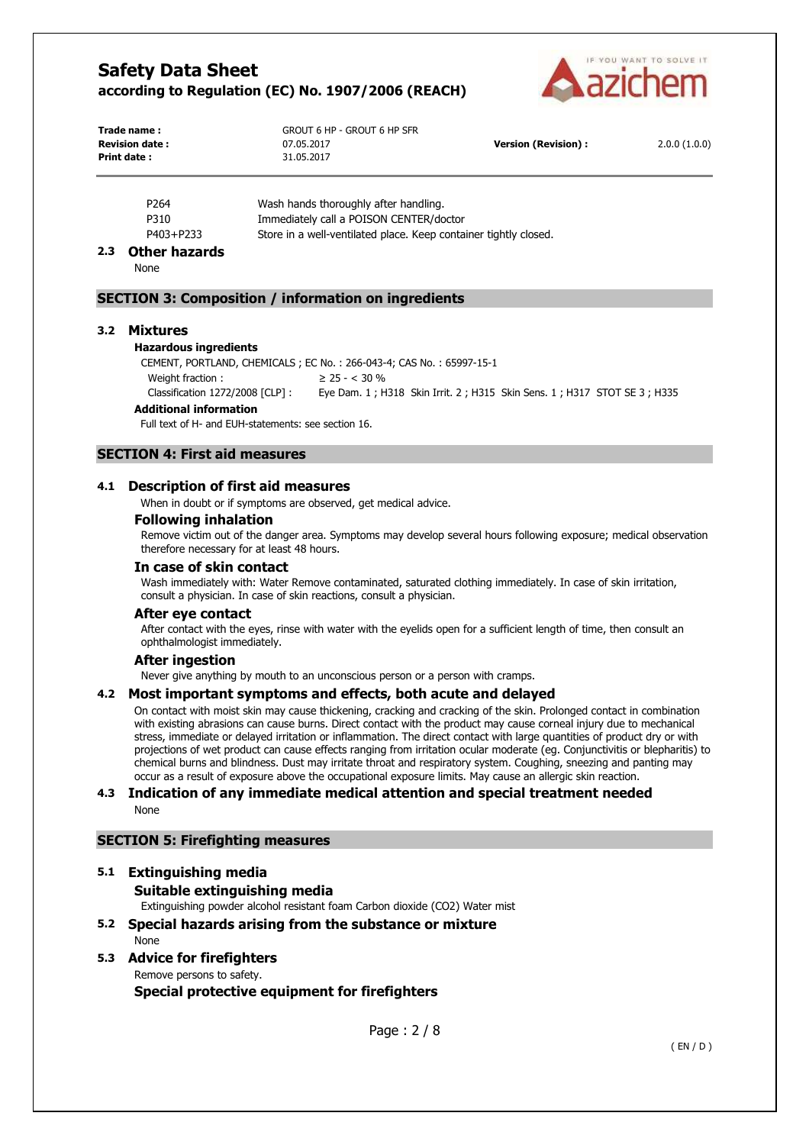

| Trade name:           | GROUT 6 HP - GROUT 6 HP SFR |                      |              |
|-----------------------|-----------------------------|----------------------|--------------|
| <b>Revision date:</b> | 07.05.2017                  | Version (Revision) : | 2.0.0(1.0.0) |
| Print date :          | 31.05.2017                  |                      |              |

| P <sub>264</sub> | Wash hands thoroughly after handling.                            |
|------------------|------------------------------------------------------------------|
| P310             | Immediately call a POISON CENTER/doctor                          |
| P403+P233        | Store in a well-ventilated place. Keep container tightly closed. |

#### **2.3 Other hazards**

None

#### **SECTION 3: Composition / information on ingredients**

#### **3.2 Mixtures**

#### **Hazardous ingredients**

CEMENT, PORTLAND, CHEMICALS ; EC No. : 266-043-4; CAS No. : 65997-15-1

Weight fraction :  $\geq 25 - < 30\%$ Classification 1272/2008 [CLP] : Eye Dam. 1 ; H318 Skin Irrit. 2 ; H315 Skin Sens. 1 ; H317 STOT SE 3 ; H335

# **Additional information**

Full text of H- and EUH-statements: see section 16.

# **SECTION 4: First aid measures**

#### **4.1 Description of first aid measures**

When in doubt or if symptoms are observed, get medical advice.

#### **Following inhalation**

Remove victim out of the danger area. Symptoms may develop several hours following exposure; medical observation therefore necessary for at least 48 hours.

# **In case of skin contact**

Wash immediately with: Water Remove contaminated, saturated clothing immediately. In case of skin irritation, consult a physician. In case of skin reactions, consult a physician.

#### **After eye contact**

After contact with the eyes, rinse with water with the eyelids open for a sufficient length of time, then consult an ophthalmologist immediately.

#### **After ingestion**

Never give anything by mouth to an unconscious person or a person with cramps.

#### **4.2 Most important symptoms and effects, both acute and delayed**

On contact with moist skin may cause thickening, cracking and cracking of the skin. Prolonged contact in combination with existing abrasions can cause burns. Direct contact with the product may cause corneal injury due to mechanical stress, immediate or delayed irritation or inflammation. The direct contact with large quantities of product dry or with projections of wet product can cause effects ranging from irritation ocular moderate (eg. Conjunctivitis or blepharitis) to chemical burns and blindness. Dust may irritate throat and respiratory system. Coughing, sneezing and panting may occur as a result of exposure above the occupational exposure limits. May cause an allergic skin reaction.

#### **4.3 Indication of any immediate medical attention and special treatment needed**  None

# **SECTION 5: Firefighting measures**

# **5.1 Extinguishing media**

**Suitable extinguishing media** 

Extinguishing powder alcohol resistant foam Carbon dioxide (CO2) Water mist

**5.2 Special hazards arising from the substance or mixture**  None

# **5.3 Advice for firefighters**

Remove persons to safety.

**Special protective equipment for firefighters**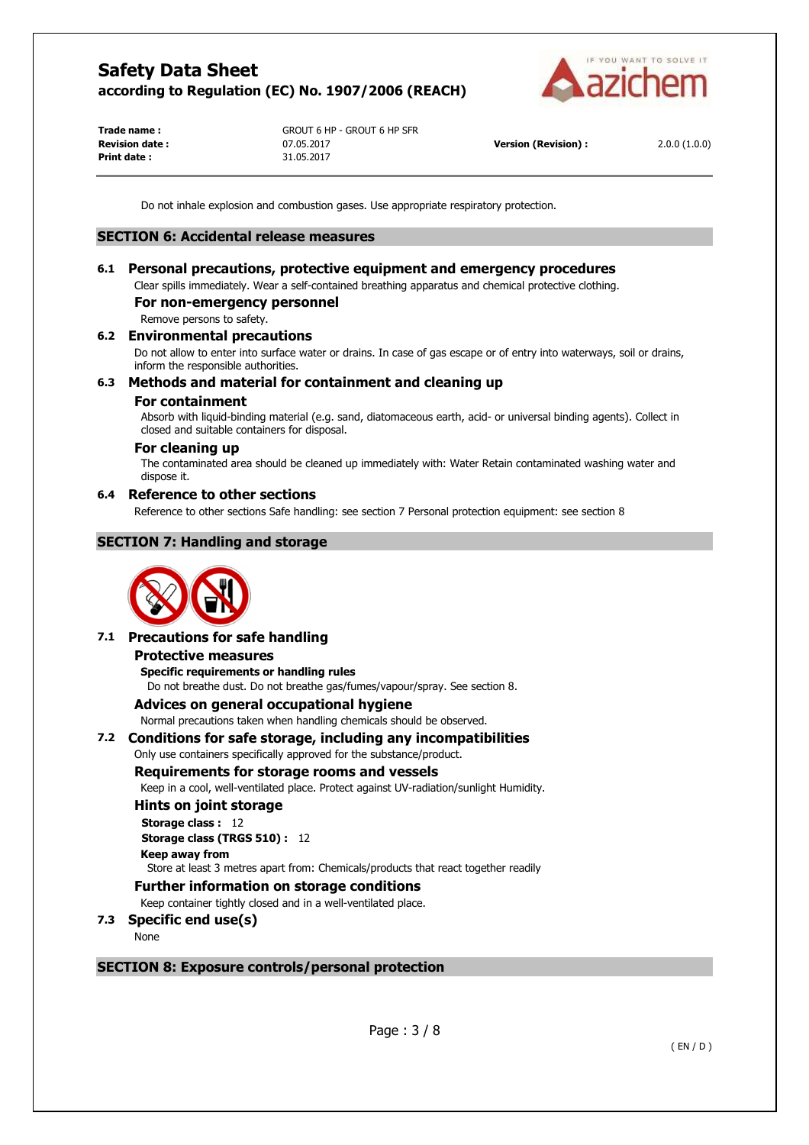

**Print date :** 31.05.2017

**Trade name :** GROUT 6 HP - GROUT 6 HP SFR **Revision date :** 07.05.2017 **Version (Revision) :** 2.0.0 (1.0.0)

Do not inhale explosion and combustion gases. Use appropriate respiratory protection.

#### **SECTION 6: Accidental release measures**

# **6.1 Personal precautions, protective equipment and emergency procedures**

Clear spills immediately. Wear a self-contained breathing apparatus and chemical protective clothing.

# **For non-emergency personnel**

Remove persons to safety.

# **6.2 Environmental precautions**

Do not allow to enter into surface water or drains. In case of gas escape or of entry into waterways, soil or drains, inform the responsible authorities.

# **6.3 Methods and material for containment and cleaning up**

#### **For containment**

Absorb with liquid-binding material (e.g. sand, diatomaceous earth, acid- or universal binding agents). Collect in closed and suitable containers for disposal.

# **For cleaning up**

The contaminated area should be cleaned up immediately with: Water Retain contaminated washing water and dispose it.

#### **6.4 Reference to other sections**

Reference to other sections Safe handling: see section 7 Personal protection equipment: see section 8

# **SECTION 7: Handling and storage**



# **7.1 Precautions for safe handling**

#### **Protective measures**

**Specific requirements or handling rules**  Do not breathe dust. Do not breathe gas/fumes/vapour/spray. See section 8.

# **Advices on general occupational hygiene**

Normal precautions taken when handling chemicals should be observed.

# **7.2 Conditions for safe storage, including any incompatibilities**

#### Only use containers specifically approved for the substance/product.

## **Requirements for storage rooms and vessels**

Keep in a cool, well-ventilated place. Protect against UV-radiation/sunlight Humidity.

#### **Hints on joint storage**

**Storage class :** 12 **Storage class (TRGS 510) :** 12

# **Keep away from**

Store at least 3 metres apart from: Chemicals/products that react together readily

#### **Further information on storage conditions**

Keep container tightly closed and in a well-ventilated place.

# **7.3 Specific end use(s)**

None

# **SECTION 8: Exposure controls/personal protection**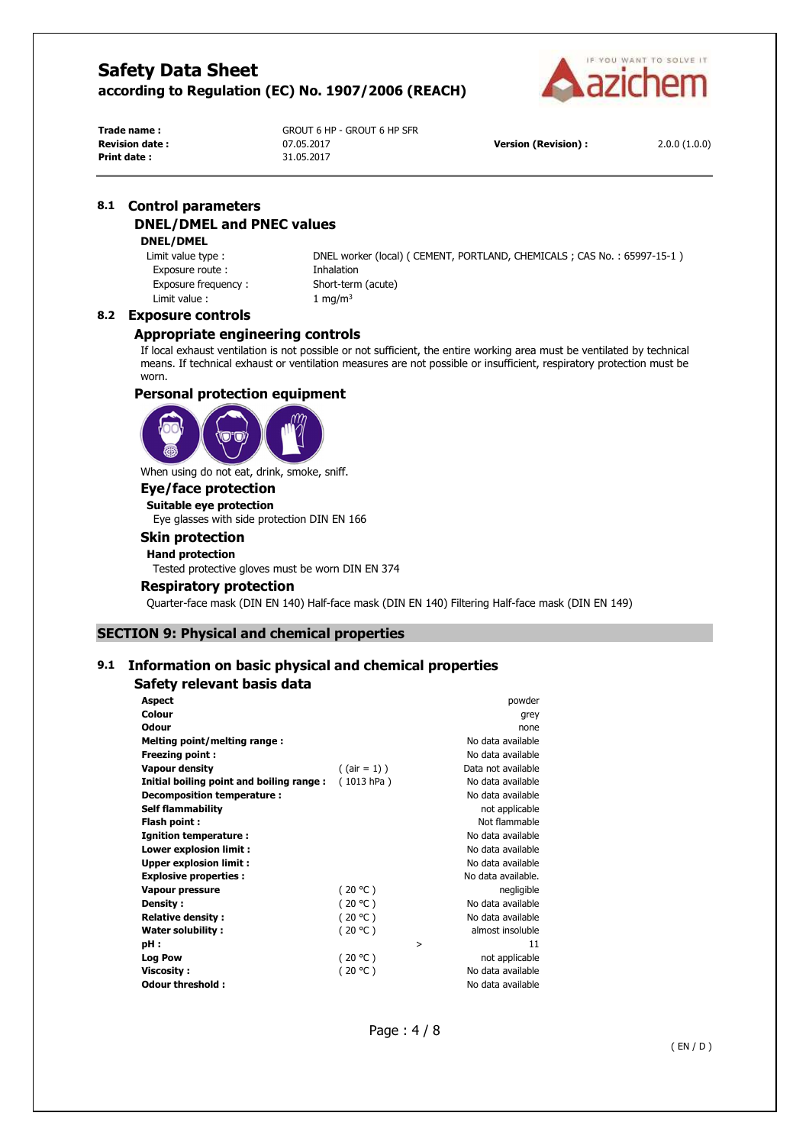

**Print date :** 31.05.2017

**Trade name :** GROUT 6 HP - GROUT 6 HP SFR **Revision date :** 07.05.2017 **Version (Revision) :** 2.0.0 (1.0.0)

# **8.1 Control parameters DNEL/DMEL and PNEC values**

# **DNEL/DMEL**

Exposure route : Thalation Exposure frequency : Short-term (acute) Limit value :  $1 \text{ mg/m}^3$ 

Limit value type : DNEL worker (local) ( CEMENT, PORTLAND, CHEMICALS ; CAS No. : 65997-15-1 )

# **8.2 Exposure controls**

## **Appropriate engineering controls**

If local exhaust ventilation is not possible or not sufficient, the entire working area must be ventilated by technical means. If technical exhaust or ventilation measures are not possible or insufficient, respiratory protection must be worn.

# **Personal protection equipment**



When using do not eat, drink, smoke, sniff.

# **Eye/face protection**

**Suitable eye protection** 

Eye glasses with side protection DIN EN 166

# **Skin protection**

**Hand protection** 

Tested protective gloves must be worn DIN EN 374

#### **Respiratory protection**

Quarter-face mask (DIN EN 140) Half-face mask (DIN EN 140) Filtering Half-face mask (DIN EN 149)

# **SECTION 9: Physical and chemical properties**

# **9.1 Information on basic physical and chemical properties**

#### **Safety relevant basis data**

| <b>Aspect</b>                            |                 |   | powder             |
|------------------------------------------|-----------------|---|--------------------|
| Colour                                   |                 |   | grey               |
| Odour                                    |                 |   | none               |
| Melting point/melting range:             |                 |   | No data available  |
| <b>Freezing point:</b>                   |                 |   | No data available  |
| <b>Vapour density</b>                    | $($ (air = 1) ) |   | Data not available |
| Initial boiling point and boiling range: | (1013 hPa)      |   | No data available  |
| Decomposition temperature :              |                 |   | No data available  |
| <b>Self flammability</b>                 |                 |   | not applicable     |
| Flash point :                            |                 |   | Not flammable      |
| <b>Ignition temperature:</b>             |                 |   | No data available  |
| Lower explosion limit:                   |                 |   | No data available  |
| <b>Upper explosion limit:</b>            |                 |   | No data available  |
| <b>Explosive properties:</b>             |                 |   | No data available. |
| Vapour pressure                          | (20 °C)         |   | negligible         |
| Density:                                 | (20 °C)         |   | No data available  |
| <b>Relative density:</b>                 | (20 °C)         |   | No data available  |
| Water solubility:                        | (20 °C)         |   | almost insoluble   |
| pH :                                     |                 | > | 11                 |
| Log Pow                                  | (20 °C)         |   | not applicable     |
| <b>Viscosity:</b>                        | (20 °C)         |   | No data available  |
| Odour threshold:                         |                 |   | No data available  |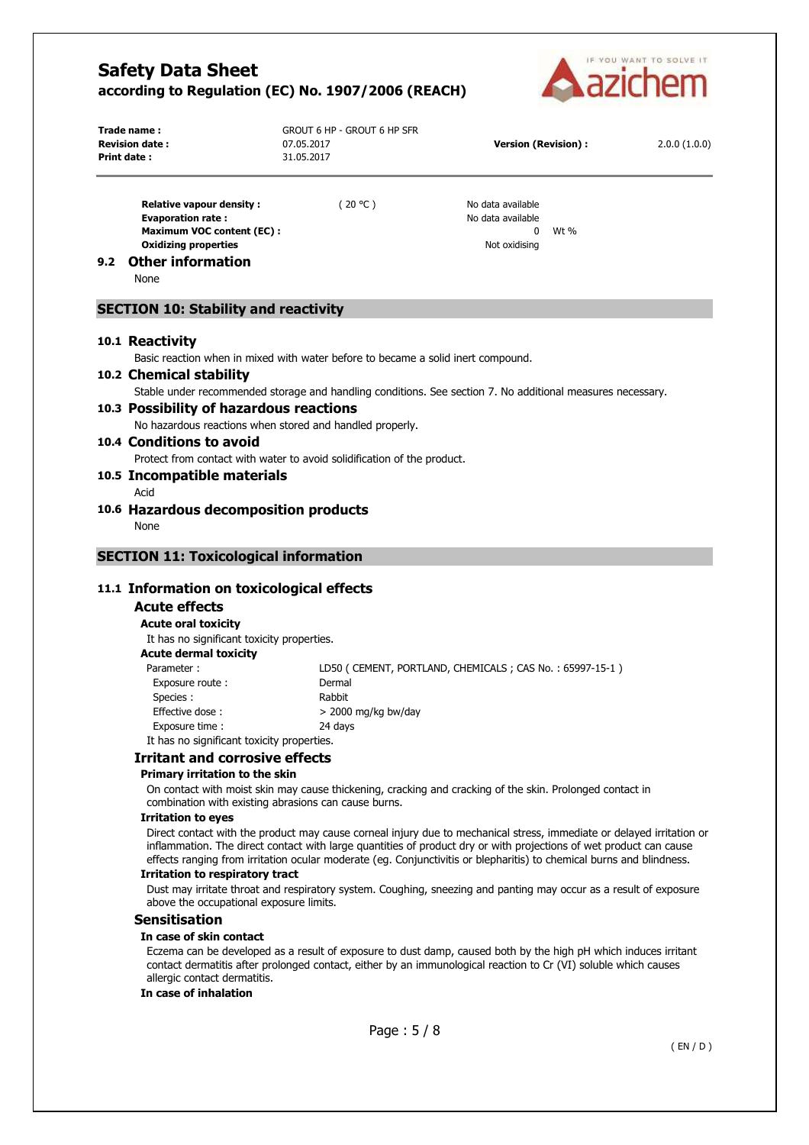

| Trade name :<br><b>Revision date:</b><br>Print date : | GROUT 6 HP - GROUT 6 HP SFR<br>07.05.2017<br>31.05.2017 | Version (Revision) : | 2.0.0(1.0.0) |
|-------------------------------------------------------|---------------------------------------------------------|----------------------|--------------|
|                                                       |                                                         |                      |              |

**Relative vapour density :**  $(20 °C)$  No data available **Evaporation rate : No data available Evaporation rate : No data available Maximum VOC content (EC) :** 0 Wt % **Oxidizing properties Notified by a strategie of the strategie of the strategie of the strategie of the strategie of the strategie of the strategie of the strategie of the strategie of the strategie of the strategie of t** 

#### **9.2 Other information**

None

## **SECTION 10: Stability and reactivity**

#### **10.1 Reactivity**

Basic reaction when in mixed with water before to became a solid inert compound.

#### **10.2 Chemical stability**

Stable under recommended storage and handling conditions. See section 7. No additional measures necessary.

# **10.3 Possibility of hazardous reactions**

No hazardous reactions when stored and handled properly.

# **10.4 Conditions to avoid**

Protect from contact with water to avoid solidification of the product.

# **10.5 Incompatible materials**

- Acid
- **10.6 Hazardous decomposition products**  None

# **SECTION 11: Toxicological information**

# **11.1 Information on toxicological effects**

## **Acute effects**

#### **Acute oral toxicity**

It has no significant toxicity properties.

#### **Acute dermal toxicity**

| Parameter:                                 | LD50 (CEMENT, PORTLAND, CHEMICALS; CAS No.: 65997-15-1) |  |
|--------------------------------------------|---------------------------------------------------------|--|
| Exposure route:                            | Dermal                                                  |  |
| Species :                                  | Rabbit                                                  |  |
| Effective dose:                            | $>$ 2000 mg/kg bw/day                                   |  |
| Exposure time:                             | 24 davs                                                 |  |
| It has no significant toxicity properties. |                                                         |  |

# **Irritant and corrosive effects**

# **Primary irritation to the skin**

On contact with moist skin may cause thickening, cracking and cracking of the skin. Prolonged contact in combination with existing abrasions can cause burns.

#### **Irritation to eyes**

Direct contact with the product may cause corneal injury due to mechanical stress, immediate or delayed irritation or inflammation. The direct contact with large quantities of product dry or with projections of wet product can cause effects ranging from irritation ocular moderate (eg. Conjunctivitis or blepharitis) to chemical burns and blindness.

#### **Irritation to respiratory tract**

Dust may irritate throat and respiratory system. Coughing, sneezing and panting may occur as a result of exposure above the occupational exposure limits.

#### **Sensitisation**

#### **In case of skin contact**

Eczema can be developed as a result of exposure to dust damp, caused both by the high pH which induces irritant contact dermatitis after prolonged contact, either by an immunological reaction to Cr (VI) soluble which causes allergic contact dermatitis.

#### **In case of inhalation**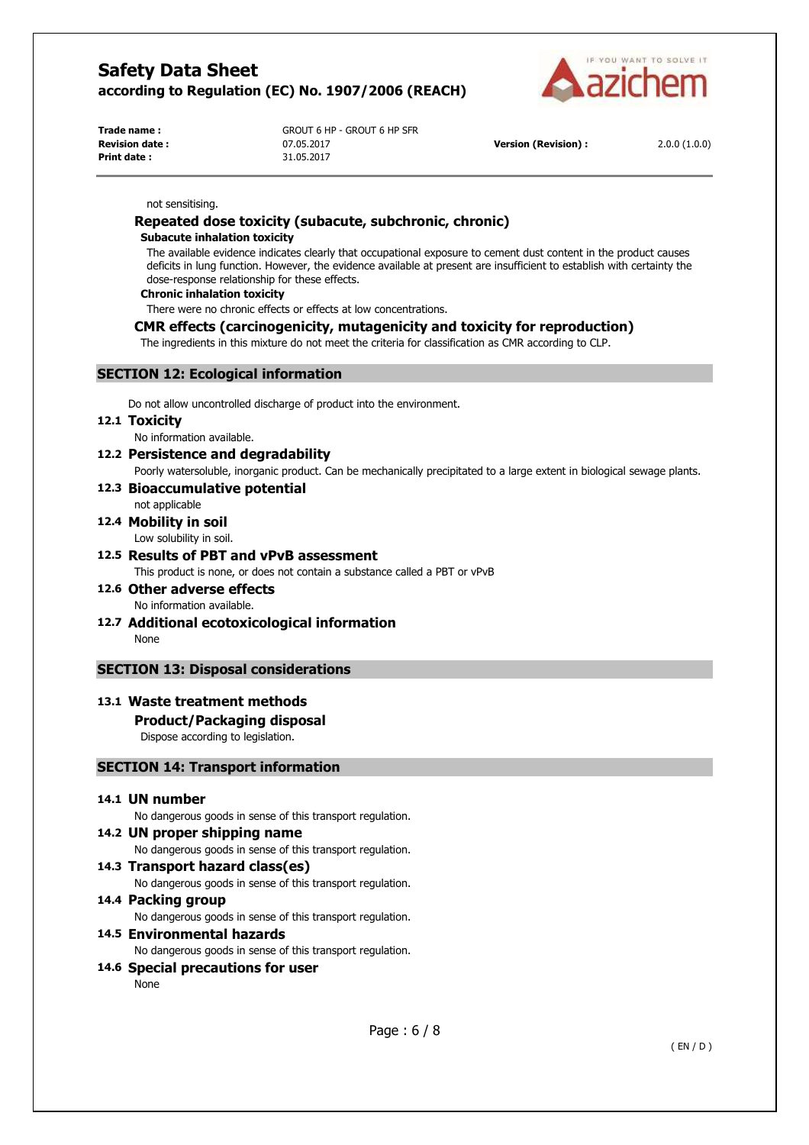

**Print date :** 31.05.2017

**Trade name :** GROUT 6 HP - GROUT 6 HP SFR **Revision date :** 07.05.2017 **Version (Revision) :** 2.0.0 (1.0.0)

#### not sensitising.

# **Repeated dose toxicity (subacute, subchronic, chronic)**

#### **Subacute inhalation toxicity**

The available evidence indicates clearly that occupational exposure to cement dust content in the product causes deficits in lung function. However, the evidence available at present are insufficient to establish with certainty the dose-response relationship for these effects.

#### **Chronic inhalation toxicity**

There were no chronic effects or effects at low concentrations.

#### **CMR effects (carcinogenicity, mutagenicity and toxicity for reproduction)**

The ingredients in this mixture do not meet the criteria for classification as CMR according to CLP.

# **SECTION 12: Ecological information**

Do not allow uncontrolled discharge of product into the environment.

#### **12.1 Toxicity**

No information available.

# **12.2 Persistence and degradability**

Poorly watersoluble, inorganic product. Can be mechanically precipitated to a large extent in biological sewage plants.

#### **12.3 Bioaccumulative potential**  not applicable

# **12.4 Mobility in soil**

Low solubility in soil.

**12.5 Results of PBT and vPvB assessment**  This product is none, or does not contain a substance called a PBT or vPvB

# **12.6 Other adverse effects**

- No information available.
- **12.7 Additional ecotoxicological information**  None

# **SECTION 13: Disposal considerations**

# **13.1 Waste treatment methods**

# **Product/Packaging disposal**

Dispose according to legislation.

# **SECTION 14: Transport information**

# **14.1 UN number**

No dangerous goods in sense of this transport regulation.

**14.2 UN proper shipping name**  No dangerous goods in sense of this transport regulation. **14.3 Transport hazard class(es)** 

No dangerous goods in sense of this transport regulation.

**14.4 Packing group**  No dangerous goods in sense of this transport regulation.

**14.5 Environmental hazards** 

No dangerous goods in sense of this transport regulation.

#### **14.6 Special precautions for user**  None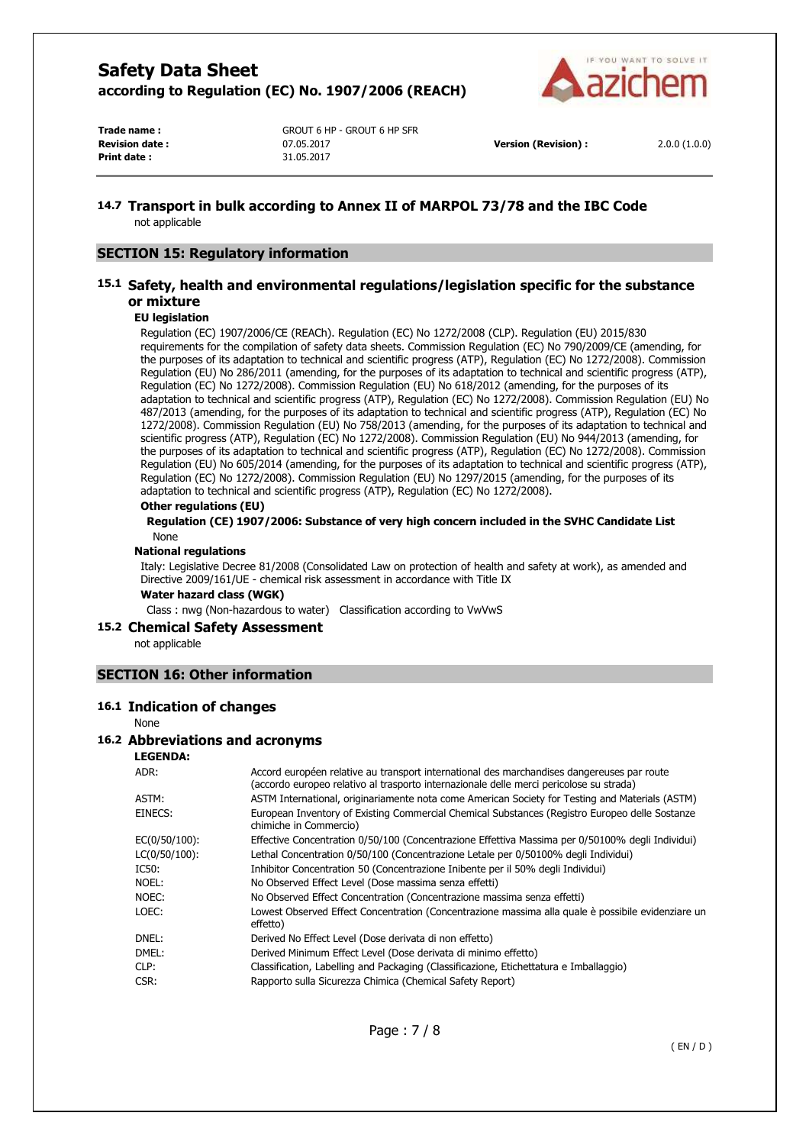

**Print date :** 31.05.2017

**Trade name :** GROUT 6 HP - GROUT 6 HP SFR **Revision date :** 07.05.2017 **Version (Revision) :** 2.0.0 (1.0.0)

#### **14.7 Transport in bulk according to Annex II of MARPOL 73/78 and the IBC Code**  not applicable

#### **SECTION 15: Regulatory information**

## **15.1 Safety, health and environmental regulations/legislation specific for the substance or mixture**

#### **EU legislation**

Regulation (EC) 1907/2006/CE (REACh). Regulation (EC) No 1272/2008 (CLP). Regulation (EU) 2015/830 requirements for the compilation of safety data sheets. Commission Regulation (EC) No 790/2009/CE (amending, for the purposes of its adaptation to technical and scientific progress (ATP), Regulation (EC) No 1272/2008). Commission Regulation (EU) No 286/2011 (amending, for the purposes of its adaptation to technical and scientific progress (ATP), Regulation (EC) No 1272/2008). Commission Regulation (EU) No 618/2012 (amending, for the purposes of its adaptation to technical and scientific progress (ATP), Regulation (EC) No 1272/2008). Commission Regulation (EU) No 487/2013 (amending, for the purposes of its adaptation to technical and scientific progress (ATP), Regulation (EC) No 1272/2008). Commission Regulation (EU) No 758/2013 (amending, for the purposes of its adaptation to technical and scientific progress (ATP), Regulation (EC) No 1272/2008). Commission Regulation (EU) No 944/2013 (amending, for the purposes of its adaptation to technical and scientific progress (ATP), Regulation (EC) No 1272/2008). Commission Regulation (EU) No 605/2014 (amending, for the purposes of its adaptation to technical and scientific progress (ATP), Regulation (EC) No 1272/2008). Commission Regulation (EU) No 1297/2015 (amending, for the purposes of its adaptation to technical and scientific progress (ATP), Regulation (EC) No 1272/2008).

#### **Other regulations (EU)**

**Regulation (CE) 1907/2006: Substance of very high concern included in the SVHC Candidate List**  None

#### **National regulations**

Italy: Legislative Decree 81/2008 (Consolidated Law on protection of health and safety at work), as amended and Directive 2009/161/UE - chemical risk assessment in accordance with Title IX

#### **Water hazard class (WGK)**

Class : nwg (Non-hazardous to water) Classification according to VwVwS

#### **15.2 Chemical Safety Assessment**

not applicable

#### **SECTION 16: Other information**

#### **16.1 Indication of changes**

None

# **16.2 Abbreviations and acronyms**

# **LEGENDA:**

| ADR:          | Accord européen relative au transport international des marchandises dangereuses par route<br>(accordo europeo relativo al trasporto internazionale delle merci pericolose su strada) |
|---------------|---------------------------------------------------------------------------------------------------------------------------------------------------------------------------------------|
| ASTM:         | ASTM International, originariamente nota come American Society for Testing and Materials (ASTM)                                                                                       |
| EINECS:       | European Inventory of Existing Commercial Chemical Substances (Registro Europeo delle Sostanze<br>chimiche in Commercio)                                                              |
| EC(0/50/100): | Effective Concentration 0/50/100 (Concentrazione Effettiva Massima per 0/50100% degli Individui)                                                                                      |
| LC(0/50/100): | Lethal Concentration 0/50/100 (Concentrazione Letale per 0/50100% degli Individui)                                                                                                    |
| IC50:         | Inhibitor Concentration 50 (Concentrazione Inibente per il 50% degli Individui)                                                                                                       |
| NOEL:         | No Observed Effect Level (Dose massima senza effetti)                                                                                                                                 |
| NOEC:         | No Observed Effect Concentration (Concentrazione massima senza effetti)                                                                                                               |
| LOEC:         | Lowest Observed Effect Concentration (Concentrazione massima alla quale è possibile evidenziare un<br>effetto)                                                                        |
| dnel:         | Derived No Effect Level (Dose derivata di non effetto)                                                                                                                                |
| DMEL:         | Derived Minimum Effect Level (Dose derivata di minimo effetto)                                                                                                                        |
| CLP:          | Classification, Labelling and Packaging (Classificazione, Etichettatura e Imballaggio)                                                                                                |
| CSR:          | Rapporto sulla Sicurezza Chimica (Chemical Safety Report)                                                                                                                             |